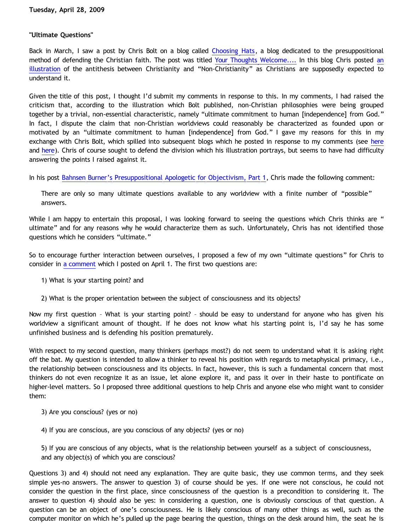# **"Ultimate Questions"**

Back in March, I saw a post by Chris Bolt on a blog called [Choosing Hats](http://www.blogger.com/�http://choosinghats.blogspot.com/�), a blog dedicated to the presuppositional method of defending the Christian faith. The post was titled [Your Thoughts Welcome....](http://www.blogger.com/�http://choosinghats.blogspot.com/2009/03/your-thoughts-welcome.html�) In this blog Chris posted [an](http://www.blogger.com/�http://1.bp.blogspot.com/_RdpqiHhlWP8/ScsdMz_0k7I/AAAAAAAAACI/vZ781MEd6lc/s1600-h/Presup+Teaching+Tool.jpg�) [illustration](http://www.blogger.com/�http://1.bp.blogspot.com/_RdpqiHhlWP8/ScsdMz_0k7I/AAAAAAAAACI/vZ781MEd6lc/s1600-h/Presup+Teaching+Tool.jpg�) of the antithesis between Christianity and "Non-Christianity" as Christians are supposedly expected to understand it.

Given the title of this post, I thought I'd submit my comments in response to this. In my comments, I had raised the criticism that, according to the illustration which Bolt published, non-Christian philosophies were being grouped together by a trivial, non-essential characteristic, namely "ultimate commitment to human [independence] from God." In fact, I dispute the claim that non-Christian worldviews could reasonably be characterized as founded upon or motivated by an "ultimate commitment to human [independence] from God." I gave my reasons for this in my exchange with Chris Bolt, which spilled into subsequent blogs which he posted in response to my comments (see [here](http://www.blogger.com/�http://choosinghats.blogspot.com/2009/03/bahnsen-burners-presuppositional.html�) and [here\)](http://www.blogger.com/�http://choosinghats.blogspot.com/2009/04/bahnsen-burners-presuppositional.html�). Chris of course sought to defend the division which his illustration portrays, but seems to have had difficulty answering the points I raised against it.

In his post [Bahnsen Burner's Presuppositional Apologetic for Objectivism, Part 1,](http://www.blogger.com/�http://choosinghats.blogspot.com/2009/03/bahnsen-burners-presuppositional.html�) Chris made the following comment:

There are only so many ultimate questions available to any worldview with a finite number of "possible" answers.

While I am happy to entertain this proposal, I was looking forward to seeing the questions which Chris thinks are " ultimate" and for any reasons why he would characterize them as such. Unfortunately, Chris has not identified those questions which he considers "ultimate."

So to encourage further interaction between ourselves, I proposed a few of my own "ultimate questions" for Chris to consider in [a comment](http://www.blogger.com/�http://choosinghats.blogspot.com/2009/04/bahnsen-burners-presuppositional.html?showComment=1238647080000) which I posted on April 1. The first two questions are:

- 1) What is your starting point? and
- 2) What is the proper orientation between the subject of consciousness and its objects?

Now my first question – What is your starting point? – should be easy to understand for anyone who has given his worldview a significant amount of thought. If he does not know what his starting point is, I'd say he has some unfinished business and is defending his position prematurely.

With respect to my second question, many thinkers (perhaps most?) do not seem to understand what it is asking right off the bat. My question is intended to allow a thinker to reveal his position with regards to metaphysical primacy, i.e., the relationship between consciousness and its objects. In fact, however, this is such a fundamental concern that most thinkers do not even recognize it as an issue, let alone explore it, and pass it over in their haste to pontificate on higher-level matters. So I proposed three additional questions to help Chris and anyone else who might want to consider them:

- 3) Are you conscious? (yes or no)
- 4) If you are conscious, are you conscious of any objects? (yes or no)

5) If you are conscious of any objects, what is the relationship between yourself as a subject of consciousness, and any object(s) of which you are conscious?

Questions 3) and 4) should not need any explanation. They are quite basic, they use common terms, and they seek simple yes-no answers. The answer to question 3) of course should be yes. If one were not conscious, he could not consider the question in the first place, since consciousness of the question is a precondition to considering it. The answer to question 4) should also be yes: in considering a question, one is obviously conscious of that question. A question can be an object of one's consciousness. He is likely conscious of many other things as well, such as the computer monitor on which he's pulled up the page bearing the question, things on the desk around him, the seat he is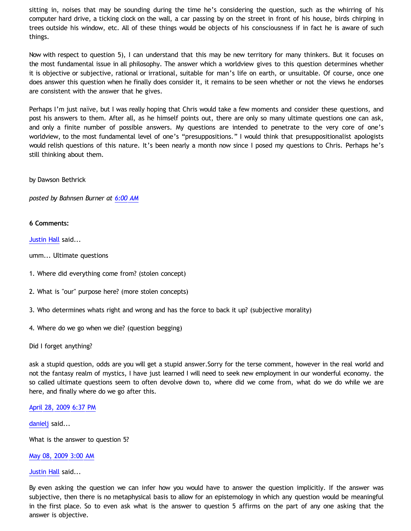sitting in, noises that may be sounding during the time he's considering the question, such as the whirring of his computer hard drive, a ticking clock on the wall, a car passing by on the street in front of his house, birds chirping in trees outside his window, etc. All of these things would be objects of his consciousness if in fact he is aware of such things.

Now with respect to question 5), I can understand that this may be new territory for many thinkers. But it focuses on the most fundamental issue in all philosophy. The answer which a worldview gives to this question determines whether it is objective or subjective, rational or irrational, suitable for man's life on earth, or unsuitable. Of course, once one does answer this question when he finally does consider it, it remains to be seen whether or not the views he endorses are consistent with the answer that he gives.

Perhaps I'm just naïve, but I was really hoping that Chris would take a few moments and consider these questions, and post his answers to them. After all, as he himself points out, there are only so many ultimate questions one can ask, and only a finite number of possible answers. My questions are intended to penetrate to the very core of one's worldview, to the most fundamental level of one's "presuppositions." I would think that presuppositionalist apologists would relish questions of this nature. It's been nearly a month now since I posed my questions to Chris. Perhaps he's still thinking about them.

by Dawson Bethrick

*posted by Bahnsen Burner at [6:00 AM](http://bahnsenburner.blogspot.com/2009/04/ultimate-questions.html)*

## **6 Comments:**

[Justin Hall](http://www.blogger.com/profile/17804641315202800289) said...

umm... Ultimate questions

- 1. Where did everything come from? (stolen concept)
- 2. What is "our" purpose here? (more stolen concepts)
- 3. Who determines whats right and wrong and has the force to back it up? (subjective morality)
- 4. Where do we go when we die? (question begging)

#### Did I forget anything?

ask a stupid question, odds are you will get a stupid answer.Sorry for the terse comment, however in the real world and not the fantasy realm of mystics, I have just learned I will need to seek new employment in our wonderful economy. the so called ultimate questions seem to often devolve down to, where did we come from, what do we do while we are here, and finally where do we go after this.

#### [April 28, 2009 6:37 PM](http://bahnsenburner.blogspot.com/2009/04/818009313719077382)

[danielj](http://www.blogger.com/profile/12386575757949129658) said...

What is the answer to question 5?

[May 08, 2009 3:00 AM](http://bahnsenburner.blogspot.com/2009/04/8580712503048260833)

#### [Justin Hall](http://www.blogger.com/profile/17804641315202800289) said...

By even asking the question we can infer how you would have to answer the question implicitly. If the answer was subjective, then there is no metaphysical basis to allow for an epistemology in which any question would be meaningful in the first place. So to even ask what is the answer to question 5 affirms on the part of any one asking that the answer is objective.